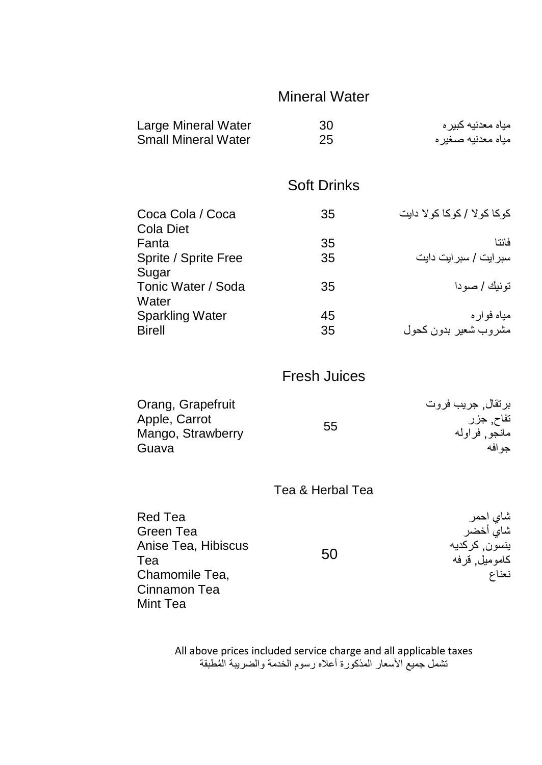# Mineral Water

| 30<br>25           | مياه معدنيه كبير ه<br>مياه معدنيه صغير ه |
|--------------------|------------------------------------------|
| <b>Soft Drinks</b> |                                          |
| 35                 | کو کا کو لا / کو کا کو لا دایت           |
| 35                 | فانتا                                    |
| 35                 | سبر ایت / سبر ایت دایت                   |
| 35                 | تو نيك / صو دا                           |
| 45                 | مياه فواره                               |
| 35                 | مشروب شعير بدون كحول                     |
|                    |                                          |

### Fresh Juices

| Orang, Grapefruit |    | برتقال, جريب فروت |
|-------------------|----|-------------------|
| Apple, Carrot     |    | تفاح, جزر         |
| Mango, Strawberry | 55 | مانجو, فراوله     |
| Guava             |    | حو افه            |

#### Tea & Herbal Tea

| Red Tea             |    | شاي احمر      |
|---------------------|----|---------------|
| Green Tea           |    | شاي أخضر      |
| Anise Tea, Hibiscus |    | ينسون, كركديه |
| Tea                 | 50 | كاموميل قرفه  |
| Chamomile Tea,      |    | نعناع         |
| Cinnamon Tea        |    |               |
| Mint Tea            |    |               |

All above prices included service charge and all applicable taxes تشمل جميع الأسعار المذكورة أعلاه رسوم الخدمة والضريبة المُطبقة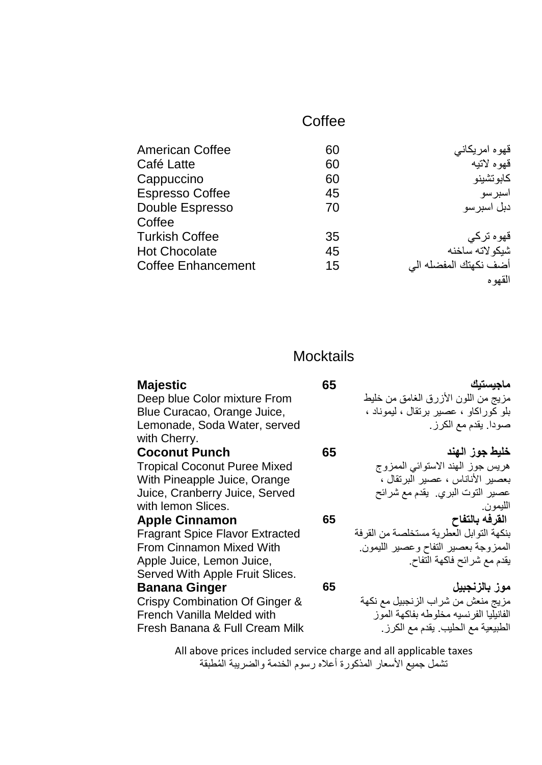## **Coffee**

| <b>American Coffee</b>    | 60 | قهوه امريكاني         |
|---------------------------|----|-----------------------|
| Café Latte                | 60 | قهوه لاتبه            |
| Cappuccino                | 60 | كابو تشينو            |
| <b>Espresso Coffee</b>    | 45 | اسبر سو               |
| Double Espresso           | 70 | دبل اسبر سو           |
| Coffee                    |    |                       |
| <b>Turkish Coffee</b>     | 35 | قهوه ترکی             |
| <b>Hot Chocolate</b>      | 45 | شبكو لاته ساخنه       |
| <b>Coffee Enhancement</b> | 15 | أضف نكهتك المفضله الى |
|                           |    | القهو ه               |

### **Mocktails**

| Majestic                                     | 65 | ماجيستيك                                |
|----------------------------------------------|----|-----------------------------------------|
| Deep blue Color mixture From                 |    | مزيج من اللون الأزرق الغامق من خليط     |
| Blue Curacao, Orange Juice,                  |    | بلو كوراكاو ، عصير برنقال ، ليموناد ،   |
| Lemonade, Soda Water, served<br>with Cherry. |    | صودا يقدم مع الكرز .                    |
| <b>Coconut Punch</b>                         | 65 | خليط جوز الهند                          |
| <b>Tropical Coconut Puree Mixed</b>          |    | هريس جوز الهند الاستوائي الممزوج        |
| With Pineapple Juice, Orange                 |    | بعصير الأناناس ، عصير البرتقال ،        |
| Juice, Cranberry Juice, Served               |    | عصير النوت البري. يقدم مع شرائح         |
| with lemon Slices.                           |    | الليمون.                                |
| <b>Apple Cinnamon</b>                        | 65 | القرفه بالتفاح                          |
| <b>Fragrant Spice Flavor Extracted</b>       |    | بنكهة التوابل العطرية مستخلصة من القرفة |
| <b>From Cinnamon Mixed With</b>              |    | الممزوجة بعصير التفاح وعصير الليمون     |
| Apple Juice, Lemon Juice,                    |    | يقدم مع شرائح فاكهة التفاح.             |
| Served With Apple Fruit Slices.              |    |                                         |
| <b>Banana Ginger</b>                         | 65 | موز بالزنجبيل                           |
| Crispy Combination Of Ginger &               |    | مزيج منعش من شراب الزنجبيل مع نكهة      |
| French Vanilla Melded with                   |    | الفانيليا الفرنسيه مخلوطه بفاكهة الموز  |
| Fresh Banana & Full Cream Milk               |    | الطبيعية مع الحليب. يقدم مع الكرز .     |
|                                              |    |                                         |

All above prices included service charge and all applicable taxes تشمل جميع الأسعار المذكورة أعلاه رسوم الخدمة والضريبة المُطبقة